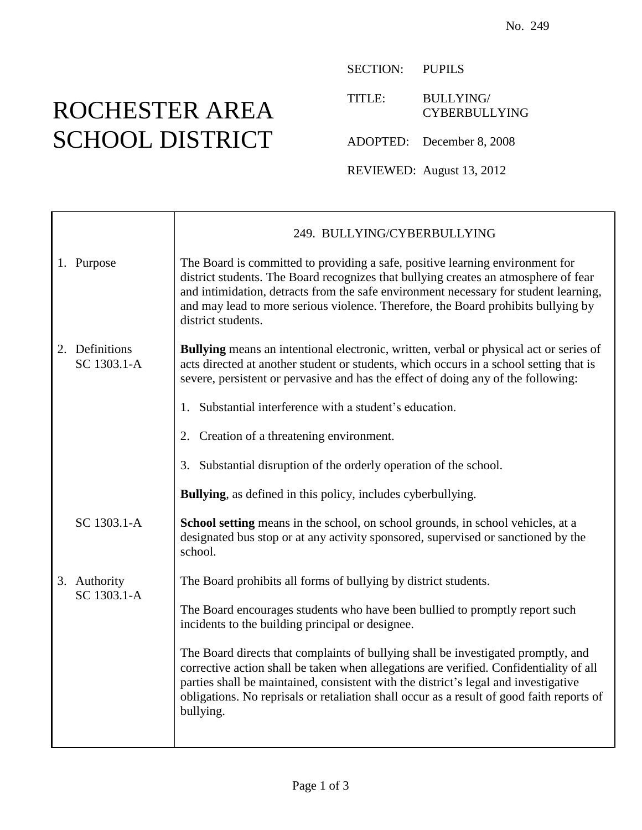## ROCHESTER AREA SCHOOL DISTRICT

SECTION: PUPILS

TITLE: BULLYING/ CYBERBULLYING

ADOPTED: December 8, 2008

REVIEWED: August 13, 2012

|                               | 249. BULLYING/CYBERBULLYING                                                                                                                                                                                                                                                                                                                                                  |
|-------------------------------|------------------------------------------------------------------------------------------------------------------------------------------------------------------------------------------------------------------------------------------------------------------------------------------------------------------------------------------------------------------------------|
| 1. Purpose                    | The Board is committed to providing a safe, positive learning environment for<br>district students. The Board recognizes that bullying creates an atmosphere of fear<br>and intimidation, detracts from the safe environment necessary for student learning,<br>and may lead to more serious violence. Therefore, the Board prohibits bullying by<br>district students.      |
| 2. Definitions<br>SC 1303.1-A | <b>Bullying</b> means an intentional electronic, written, verbal or physical act or series of<br>acts directed at another student or students, which occurs in a school setting that is<br>severe, persistent or pervasive and has the effect of doing any of the following:                                                                                                 |
|                               | 1. Substantial interference with a student's education.                                                                                                                                                                                                                                                                                                                      |
|                               | 2. Creation of a threatening environment.                                                                                                                                                                                                                                                                                                                                    |
|                               | 3. Substantial disruption of the orderly operation of the school.                                                                                                                                                                                                                                                                                                            |
|                               | <b>Bullying</b> , as defined in this policy, includes cyberbullying.                                                                                                                                                                                                                                                                                                         |
| SC 1303.1-A                   | <b>School setting</b> means in the school, on school grounds, in school vehicles, at a<br>designated bus stop or at any activity sponsored, supervised or sanctioned by the<br>school.                                                                                                                                                                                       |
| 3. Authority<br>SC 1303.1-A   | The Board prohibits all forms of bullying by district students.                                                                                                                                                                                                                                                                                                              |
|                               | The Board encourages students who have been bullied to promptly report such<br>incidents to the building principal or designee.                                                                                                                                                                                                                                              |
|                               | The Board directs that complaints of bullying shall be investigated promptly, and<br>corrective action shall be taken when allegations are verified. Confidentiality of all<br>parties shall be maintained, consistent with the district's legal and investigative<br>obligations. No reprisals or retaliation shall occur as a result of good faith reports of<br>bullying. |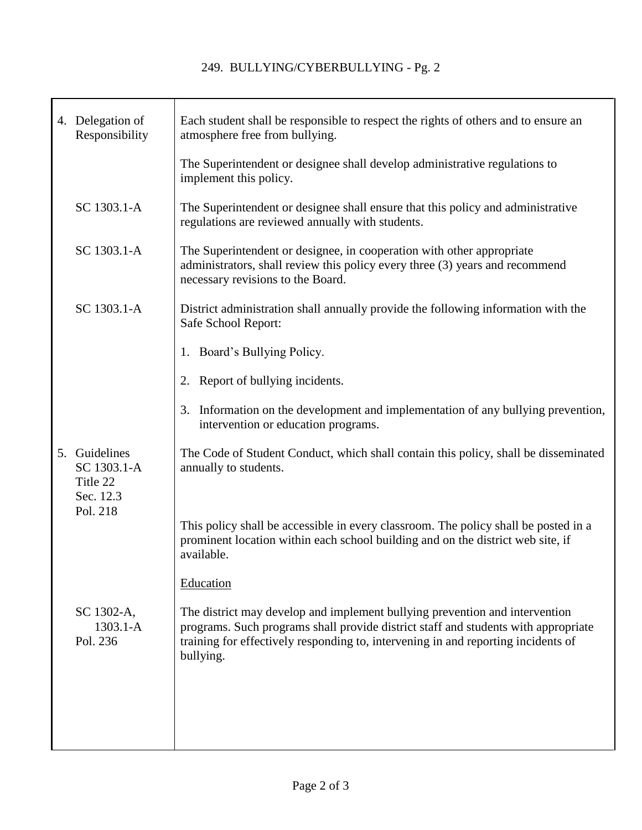|  | 4. Delegation of<br>Responsibility                    | Each student shall be responsible to respect the rights of others and to ensure an<br>atmosphere free from bullying.                                                                                                                                                |
|--|-------------------------------------------------------|---------------------------------------------------------------------------------------------------------------------------------------------------------------------------------------------------------------------------------------------------------------------|
|  |                                                       | The Superintendent or designee shall develop administrative regulations to<br>implement this policy.                                                                                                                                                                |
|  | SC 1303.1-A                                           | The Superintendent or designee shall ensure that this policy and administrative<br>regulations are reviewed annually with students.                                                                                                                                 |
|  | SC 1303.1-A                                           | The Superintendent or designee, in cooperation with other appropriate<br>administrators, shall review this policy every three (3) years and recommend<br>necessary revisions to the Board.                                                                          |
|  | SC 1303.1-A                                           | District administration shall annually provide the following information with the<br>Safe School Report:                                                                                                                                                            |
|  |                                                       | 1. Board's Bullying Policy.                                                                                                                                                                                                                                         |
|  |                                                       | 2. Report of bullying incidents.                                                                                                                                                                                                                                    |
|  |                                                       | Information on the development and implementation of any bullying prevention,<br>3.<br>intervention or education programs.                                                                                                                                          |
|  | 5. Guidelines<br>SC 1303.1-A<br>Title 22<br>Sec. 12.3 | The Code of Student Conduct, which shall contain this policy, shall be disseminated<br>annually to students.                                                                                                                                                        |
|  | Pol. 218                                              | This policy shall be accessible in every classroom. The policy shall be posted in a<br>prominent location within each school building and on the district web site, if<br>available.                                                                                |
|  |                                                       | Education                                                                                                                                                                                                                                                           |
|  | SC 1302-A,<br>$1303.1 - A$<br>Pol. 236                | The district may develop and implement bullying prevention and intervention<br>programs. Such programs shall provide district staff and students with appropriate<br>training for effectively responding to, intervening in and reporting incidents of<br>bullying. |
|  |                                                       |                                                                                                                                                                                                                                                                     |